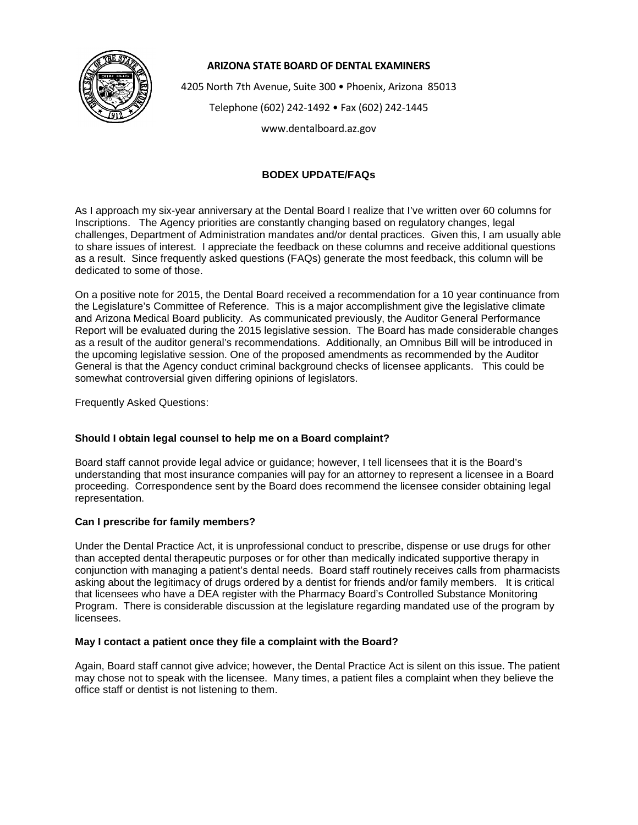

### **ARIZONA STATE BOARD OF DENTAL EXAMINERS**

4205 North 7th Avenue, Suite 300 • Phoenix, Arizona 85013 Telephone (602) 242-1492 • Fax (602) 242-1445

www.dentalboard.az.gov

# **BODEX UPDATE/FAQs**

As I approach my six-year anniversary at the Dental Board I realize that I've written over 60 columns for Inscriptions. The Agency priorities are constantly changing based on regulatory changes, legal challenges, Department of Administration mandates and/or dental practices. Given this, I am usually able to share issues of interest. I appreciate the feedback on these columns and receive additional questions as a result. Since frequently asked questions (FAQs) generate the most feedback, this column will be dedicated to some of those.

On a positive note for 2015, the Dental Board received a recommendation for a 10 year continuance from the Legislature's Committee of Reference. This is a major accomplishment give the legislative climate and Arizona Medical Board publicity. As communicated previously, the Auditor General Performance Report will be evaluated during the 2015 legislative session. The Board has made considerable changes as a result of the auditor general's recommendations. Additionally, an Omnibus Bill will be introduced in the upcoming legislative session. One of the proposed amendments as recommended by the Auditor General is that the Agency conduct criminal background checks of licensee applicants. This could be somewhat controversial given differing opinions of legislators.

Frequently Asked Questions:

## **Should I obtain legal counsel to help me on a Board complaint?**

Board staff cannot provide legal advice or guidance; however, I tell licensees that it is the Board's understanding that most insurance companies will pay for an attorney to represent a licensee in a Board proceeding. Correspondence sent by the Board does recommend the licensee consider obtaining legal representation.

## **Can I prescribe for family members?**

Under the Dental Practice Act, it is unprofessional conduct to prescribe, dispense or use drugs for other than accepted dental therapeutic purposes or for other than medically indicated supportive therapy in conjunction with managing a patient's dental needs. Board staff routinely receives calls from pharmacists asking about the legitimacy of drugs ordered by a dentist for friends and/or family members. It is critical that licensees who have a DEA register with the Pharmacy Board's Controlled Substance Monitoring Program. There is considerable discussion at the legislature regarding mandated use of the program by licensees.

# **May I contact a patient once they file a complaint with the Board?**

Again, Board staff cannot give advice; however, the Dental Practice Act is silent on this issue. The patient may chose not to speak with the licensee. Many times, a patient files a complaint when they believe the office staff or dentist is not listening to them.